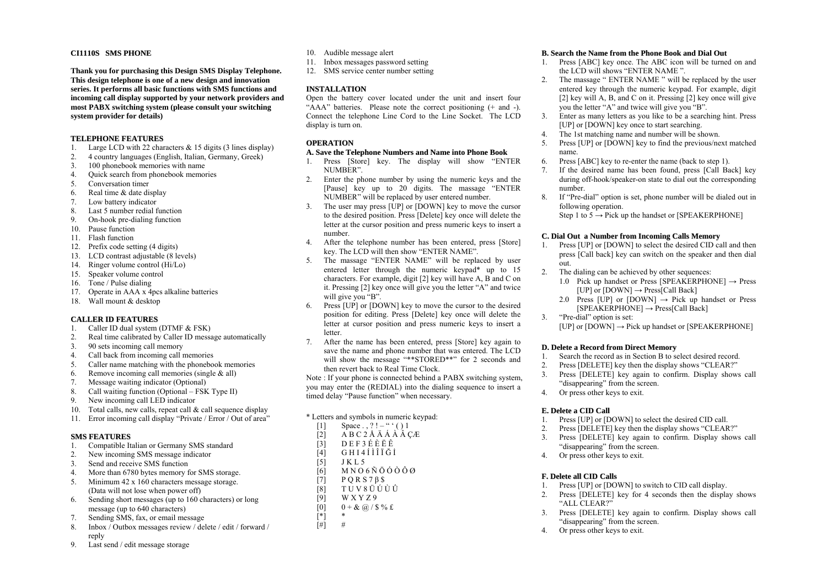#### **CI1110S SMS PHONE**

**Thank you for purchasing this Design SMS Display Telephone. This design telephone is one of a new design and innovation series. It performs all basic functions with SMS functions and incoming call display supported by your network providers and most PABX switching system (please consult your switching system provider for details)** 

#### **TELEPHONEFEATURES**

- Large LCD with 22 characters  $& 15$  digits (3 lines display) 1.
- 2.4 country languages (English, Italian, Germany, Greek)
- 3.100 phonebook memories with name
- 4.Quick search from phonebook memories
- 5.Conversation timer
- 6.Real time & date display
- 7.Low battery indicator
- 8.Last 5 number redial function
- 9.On-hook pre-dialing function
- 10.Pause function
- 11.Flash function
- 12. Prefix code setting (4 digits)
- 13.LCD contrast adjustable (8 levels)
- 14.Ringer volume control (Hi/Lo)
- 15. Speaker volume control
- 16. Tone / Pulse dialing
- 17. Operate in AAA x 4pcs alkaline batteries
- 18. Wall mount & desktop

#### **CALLER ID FEATURES**

- Caller ID dual system (DTMF & FSK) 1.
- $2^{\circ}$ Real time calibrated by Caller ID message automatically
- 3.90 sets incoming call memory
- 4.Call back from incoming call memories
- 5.Caller name matching with the phonebook memories
- 6.Remove incoming call memories (single & all)
- 7.Message waiting indicator (Optional)
- 8.Call waiting function (Optional – FSK Type II)
- 9.New incoming call LED indicator
- 10.Total calls, new calls, repeat call & call sequence display
- 11. Error incoming call display "Private / Error / Out of area"

#### **SMS FEATURES**

- Compatible Italian or Germany SMS standard 1.
- 2.New incoming SMS message indicator
- 3.Send and receive SMS function
- 4. More than 6780 bytes memory for SMS storage. 5.Minimum 42 x 160 characters message storage.
- (Data will not lose when power off) Sending short messages (up to 160 characters) or long
- 6.message (up to 640 characters)
- 7.Sending SMS, fax, or email message
- 8. Inbox / Outbox messages review / delete / edit / forward / reply
- 9.Last send / edit message storage
- 10. Audible message alert
- 11. Inbox messages password setting
- 12. SMS service center number setting

#### **INSTALLATION**

Open the battery cover located under the unit and insert four "AAA" batteries. Please note the correct positioning (+ and -). Connect the telephone Line Cord to the Line Socket. The LCD display is turn on.

#### **OPERATION**

# **A. Save the Telephone Numbers and Name into Phone Book**

- 1. Press [Store] key. The display will show "ENTER NUMBER".
- 2. Enter the phone number by using the numeric keys and the [Pause] key up to 20 digits. The massage "ENTER NUMBER" will be replaced by user entered number.
- 3. The user may press [UP] or [DOWN] key to move the cursor to the desired position. Press [Delete] key once will delete the letter at the cursor position and press numeric keys to insert a number.
- 4. After the telephone number has been entered, press [Store] key. The LCD will then show "ENTER NAME".
- 5. The massage "ENTER NAME" will be replaced by user entered letter through the numeric keypad\* up to 15 characters. For example, digit [2] key will have A, B and C on it. Pressing [2] key once will give you the letter "A" and twice will give you "B".
- 6. Press [UP] or [DOWN] key to move the cursor to the desired position for editing. Press [Delete] key once will delete the letter at cursor position and press numeric keys to insert a **letter**
- 7. After the name has been entered, press [Store] key again to save the name and phone number that was entered. The LCD will show the message "\*\*STORED\*\*" for 2 seconds and then revert back to Real Time Clock.

Note : If your phone is connected behind a PABX switching system, you may enter the (REDIAL) into the dialing sequence to insert a timed delay "Pause function" when necessary.

#### \* Letters and symbols in numeric keypad:

- [1] Space . , ? ! " ' ( ) 1
- $[2]$  A B C 2 Å Å Å Å Å  $\hat{A}$   $\hat{C}$
- $\begin{bmatrix} 3 \end{bmatrix}$  DEF3ÉÈËÊ
- [4] GHI4ÍÌÎÏĞİ
- [5] J K L 5
- $[6]$  MNO6ÑÖÓÒÔØ
- $\overline{7}$  P Q R S 7  $\beta$  \$
- [8] T U V 8 Ü Ú Ù Û
- [9] W X Y Z 9
- $[0]$  0 + & @ / \$ % £
- $\begin{bmatrix} * \\ \end{bmatrix}$  \*
- $[#]$

#### **B. Search the Name from the Phone Book and Dial Out**

- 1. Press [ABC] key once. The ABC icon will be turned on and the LCD will shows "ENTER NAME ".
- 2. The massage " ENTER NAME " will be replaced by the user entered key through the numeric keypad. For example, digit [2] key will A, B, and C on it. Pressing [2] key once will give you the letter "A" and twice will give you "B".
- 3. Enter as many letters as you like to be a searching hint. Press [UP] or [DOWN] key once to start searching.
- 4.The 1st matching name and number will be shown.
- 5. Press [UP] or [DOWN] key to find the previous/next matched name.
- 6.Press [ABC] key to re-enter the name (back to step 1).
- 7. If the desired name has been found, press [Call Back] key during off-hook/speaker-on state to dial out the corresponding number.
- 8. If "Pre-dial" option is set, phone number will be dialed out in following operation.
- Step 1 to  $5 \rightarrow$  Pick up the handset or [SPEAKERPHONE]

#### **C. Dial Out <sup>a</sup> Number from Incoming Calls Memory**

- 1. Press [UP] or [DOWN] to select the desired CID call and then press [Call back] key can switch on the speaker and then dial out.
- 2. The dialing can be achieved by other sequences:
	- 1.0 Pick up handset or Press [SPEAKERPHONE]  $\rightarrow$  Press [UP] or  $\text{[DOWN]} \rightarrow \text{Press[Call Back]}$
	- 2.0 Press [UP] or [DOWN]  $\rightarrow$  Pick up handset or Press [SPEAKERPHONE] <sup>→</sup> Press[Call Back]
- 3."Pre-dial" option is set:
- [UP] or  $[DOWN] \rightarrow Pick$  up handset or  $[SPECAKERPHONE]$

#### **D. Delete a Record fromDirect Memory**

- Search the record as in Section B to select desired record. 1.
- 2.Press [DELETE] key then the display shows "CLEAR?"
- 3. Press [DELETE] key again to confirm. Display shows call "disappearing" from the screen.
- 4.Or press other keys to exit.

#### **E. Delete a CIDCall**

- Press [UP] or [DOWN] to select the desired CID call. 1.
- 2.Press [DELETE] key then the display shows "CLEAR?"
- 3. Press [DELETE] key again to confirm. Display shows call "disappearing" from the screen.

Press [DELETE] key again to confirm. Display shows call

4.Or press other keys to exit.

## **F. Delete all CIDCalls**

3.

4.

"ALL CLEAR?"

"disappearing" from the screen.

Or press other keys to exit.

 Press [UP] or [DOWN] to switch to CID call display. 1.2.Press [DELETE] key for 4 seconds then the display shows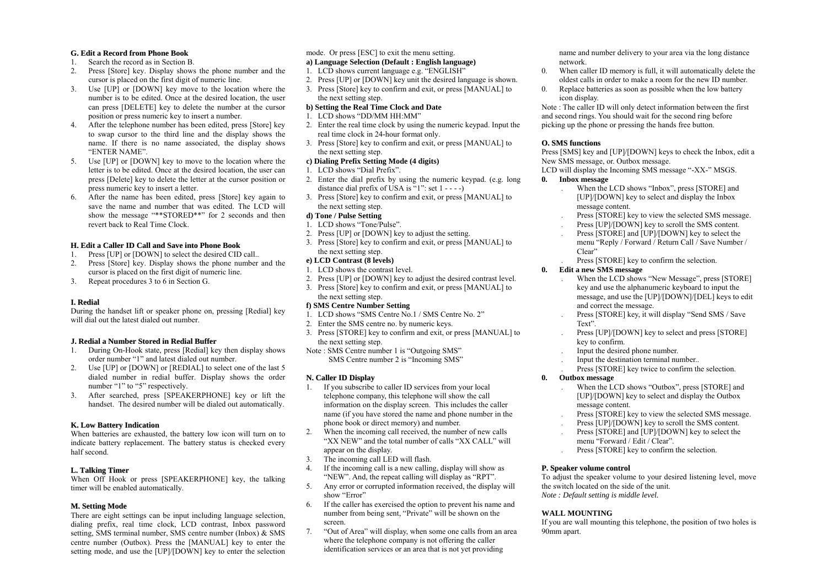### **G. Edit <sup>a</sup> Record fromPhone Book**

- 1.Search the record as in Section B.
- 2. Press [Store] key. Display shows the phone number and the cursor is placed on the first digit of numeric line.
- 3. Use [UP] or [DOWN] key move to the location where the number is to be edited. Once at the desired location, the user can press [DELETE] key to delete the number at the cursor position or press numeric key to insert a number.
- 4. After the telephone number has been edited, press [Store] key to swap cursor to the third line and the display shows the name. If there is no name associated, the display shows "ENTER NAME".
- 5. Use [UP] or [DOWN] key to move to the location where the letter is to be edited. Once at the desired location, the user can press [Delete] key to delete the letter at the cursor position or press numeric key to insert a letter.
- 6. After the name has been edited, press [Store] key again to save the name and number that was edited. The LCD will show the message "\*\*STORED\*\*" for 2 seconds and then revert back to Real Time Clock.

## **H. Edit <sup>a</sup> Caller IDCall and Save into Phone Book**

- Press [UP] or [DOWN] to select the desired CID call.. 1.
- 2. Press [Store] key. Display shows the phone number and the cursor is placed on the first digit of numeric line.
- 3.Repeat procedures 3 to 6 in Section G.

## **I. Redial**

During the handset lift or speaker phone on, pressing [Redial] key will dial out the latest dialed out number.

#### **J. Redial <sup>a</sup> Number Stored in Redial Buffer**

- 1. During On-Hook state, press [Redial] key then display shows order number "1" and latest dialed out number.
- 2. Use [UP] or [DOWN] or [REDIAL] to select one of the last 5 dialed number in redial buffer. Display shows the order number "1" to "5" respectively.
- 3. After searched, press [SPEAKERPHONE] key or lift the handset. The desired number will be dialed out automatically.

## **K. LowBattery Indication**

 When batteries are exhausted, the battery low icon will turn on to indicate battery replacement. The battery status is checked every half second.

## **L. Talking Timer**

When Off Hook or press [SPEAKERPHONE] key, the talking timer will be enabled automatically.

## **M. Setting Mode**

There are eight settings can be input including language selection, dialing prefix, real time clock, LCD contrast, Inbox password setting, SMS terminal number, SMS centre number (Inbox) & SMS centre number (Outbox). Press the [MANUAL] key to enter the setting mode, and use the [UP]/[DOWN] key to enter the selection

# mode. Or press [ESC] to exit the menu setting.

### **a) Language Selection (Default : English language)**

- 1. LCD shows current language e.g. "ENGLISH"
- 2. Press [UP] or [DOWN] key unit the desired language is shown.
- 3. Press [Store] key to confirm and exit, or press [MANUAL] to the next setting step.

### **b) Setting the Real Time Clock and Date**

- 1. LCD shows "DD/MM HH:MM"
- 2. Enter the real time clock by using the numeric keypad. Input the real time clock in 24-hour format only.
- 3. Press [Store] key to confirm and exit, or press [MANUAL] to the next setting step.

## **c) Dialing Prefix Setting Mode (4 digits)**

- 1. LCD shows "Dial Prefix".
- 2. Enter the dial prefix by using the numeric keypad. (e.g. long distance dial prefix of USA is  $(1)$ : set  $1 - (-)$
- 3. Press [Store] key to confirm and exit, or press [MANUAL] to the next setting step.

### **d) Tone / Pulse Setting**

- 1. LCD shows "Tone/Pulse".
- 2. Press [UP] or [DOWN] key to adjust the setting.
- 3. Press [Store] key to confirm and exit, or press [MANUAL] to the next setting step.

# **e) LCD Contrast (8 levels)**

- 1. LCD shows the contrast level.
- 2. Press [UP] or [DOWN] key to adjust the desired contrast level.
- 3. Press [Store] key to confirm and exit, or press [MANUAL] to the next setting step.

## **f) SMS Centre Number Setting**

- 1. LCD shows "SMS Centre No.1 / SMS Centre No. 2"
- 2. Enter the SMS centre no. by numeric keys.
- 3. Press [STORE] key to confirm and exit, or press [MANUAL] to the next setting step.
- Note : SMS Centre number 1 is "Outgoing SMS" SMS Centre number 2 is "Incoming SMS"

## **N. Caller IDDisplay**

- 1. If you subscribe to caller ID services from your local telephone company, this telephone will show the call information on the display screen. This includes the caller name (if you have stored the name and phone number in the phone book or direct memory) and number.
- 2. When the incoming call received, the number of new calls "XX NEW" and the total number of calls "XX CALL" will appear on the display.
- 3.The incoming call LED will flash.
- 4. If the incoming call is a new calling, display will show as "NEW". And, the repeat calling will display as "RPT".
- 5. Any error or corrupted information received, the display will show "Error"
- 6. If the caller has exercised the option to prevent his name and number from being sent, "Private" will be shown on the screen.
- 7. "Out of Area" will display, when some one calls from an area where the telephone company is not offering the caller identification services or an area that is not yet providing

name and number delivery to your area via the long distance network.

- 0. When caller ID memory is full, it will automatically delete the oldest calls in order to make a room for the new ID number.
- 0. Replace batteries as soon as possible when the low battery icon display.

Note : The caller ID will only detect information between the first and second rings. You should wait for the second ring before picking up the phone or pressing the hands free button.

### **O. SMS functions**

Press [SMS] key and [UP]/[DOWN] keys to check the Inbox, edit a New SMS message, or. Outbox message.

LCD will display the Incoming SMS message "-XX-" MSGS.

### **0. Inbox message**

- . When the LCD shows "Inbox", press [STORE] and [UP]/[DOWN] key to select and display the Inbox message content.
- .Press [STORE] key to view the selected SMS message.
- .Press [UP]/[DOWN] key to scroll the SMS content.
- . Press [STORE] and [UP]/[DOWN] key to select the menu "Reply / Forward / Return Call / Save Number / Clear"
- .Press [STORE] key to confirm the selection.

## **0. Edit a new SMS message**

- . When the LCD shows "New Message", press [STORE] key and use the alphanumeric keyboard to input the message, and use the [UP]/[DOWN]/[DEL] keys to edit and correct the message.
- . Press [STORE] key, it will display "Send SMS / Save Text".
- . Press [UP]/[DOWN] key to select and press [STORE] key to confirm.
- .Input the desired phone number.
- .Input the destination terminal number..
- .Press [STORE] key twice to confirm the selection.

## **0. Outbox message**

- . When the LCD shows "Outbox", press [STORE] and [UP]/[DOWN] key to select and display the Outbox message content.
- .Press [STORE] key to view the selected SMS message.
- .Press [UP]/[DOWN] key to scroll the SMS content.
- .Press [STORE] and [UP]/[DOWN] key to select the menu "Forward / Edit / Clear".
- .Press [STORE] key to confirm the selection.

## **P. Speaker volume control**

To adjust the speaker volume to your desired listening level, move the switch located on the side of the unit. *Note : Default setting is middle level.* 

## **WALL MOUNTING**

If you are wall mounting this telephone, the position of two holes is 90mm apart.